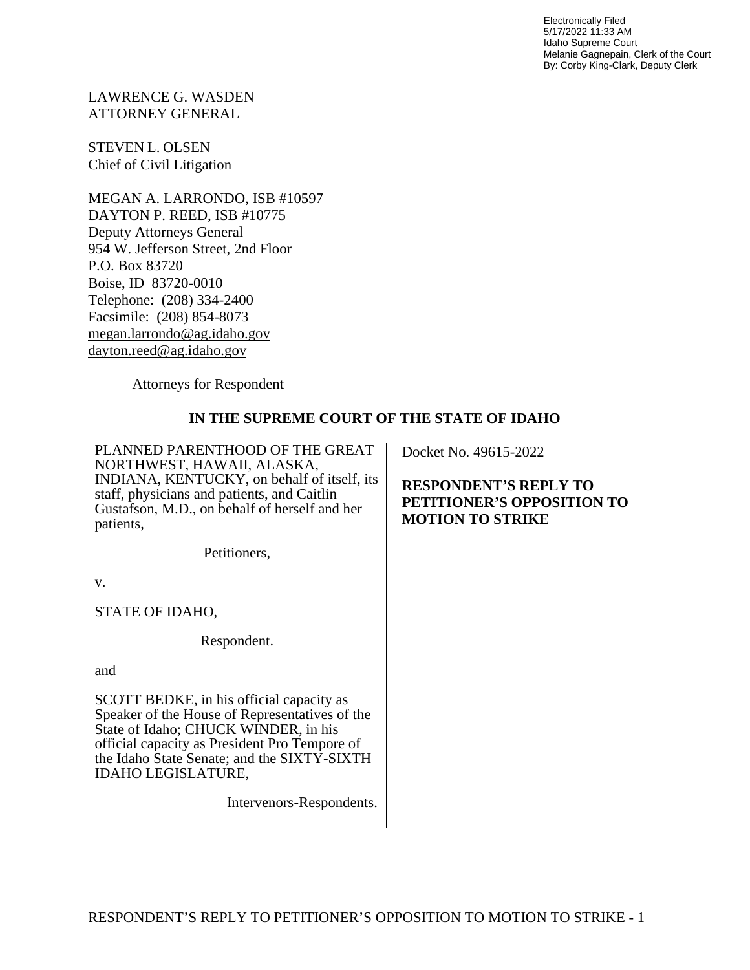Electronically Filed 5/17/2022 11:33 AM Idaho Supreme Court Melanie Gagnepain, Clerk of the Court By: Corby King-Clark, Deputy Clerk

LAWRENCE G. WASDEN ATTORNEY GENERAL

STEVEN L. OLSEN Chief of Civil Litigation

MEGAN A. LARRONDO, ISB #10597 DAYTON P. REED, ISB #10775 Deputy Attorneys General 954 W. Jefferson Street, 2nd Floor P.O. Box 83720 Boise, ID 83720-0010 Telephone: (208) 334-2400 Facsimile: (208) 854-8073 [megan.larrondo@ag.idaho.gov](mailto:megan.larrondo@ag.idaho.gov) [dayton.reed@ag.idaho.gov](mailto:dayton.reed@ag.idaho.gov)

Attorneys for Respondent

# **IN THE SUPREME COURT OF THE STATE OF IDAHO**

PLANNED PARENTHOOD OF THE GREAT NORTHWEST, HAWAII, ALASKA, INDIANA, KENTUCKY, on behalf of itself, its staff, physicians and patients, and Caitlin Gustafson, M.D., on behalf of herself and her patients,

Petitioners,

v.

STATE OF IDAHO,

Respondent.

and

SCOTT BEDKE, in his official capacity as Speaker of the House of Representatives of the State of Idaho; CHUCK WINDER, in his official capacity as President Pro Tempore of the Idaho State Senate; and the SIXTY-SIXTH IDAHO LEGISLATURE,

Intervenors-Respondents.

Docket No. 49615-2022

**RESPONDENT'S REPLY TO PETITIONER'S OPPOSITION TO MOTION TO STRIKE**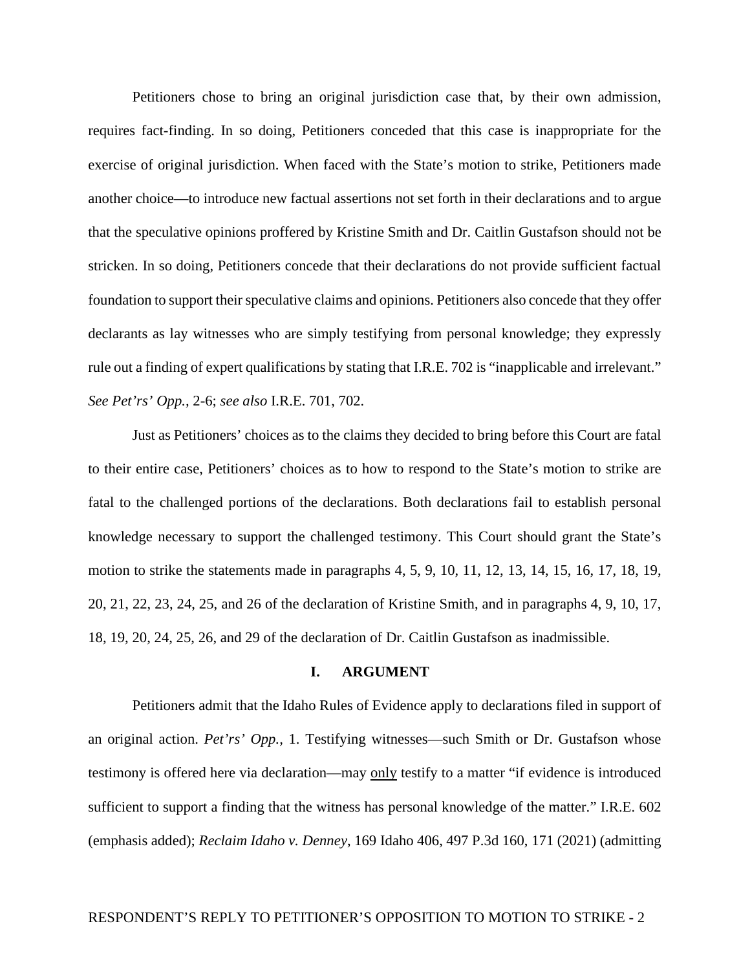Petitioners chose to bring an original jurisdiction case that, by their own admission, requires fact-finding. In so doing, Petitioners conceded that this case is inappropriate for the exercise of original jurisdiction. When faced with the State's motion to strike, Petitioners made another choice—to introduce new factual assertions not set forth in their declarations and to argue that the speculative opinions proffered by Kristine Smith and Dr. Caitlin Gustafson should not be stricken. In so doing, Petitioners concede that their declarations do not provide sufficient factual foundation to support their speculative claims and opinions. Petitioners also concede that they offer declarants as lay witnesses who are simply testifying from personal knowledge; they expressly rule out a finding of expert qualifications by stating that I.R.E. 702 is "inapplicable and irrelevant." *See Pet'rs' Opp.,* 2-6; *see also* I.R.E. 701, 702.

Just as Petitioners' choices as to the claims they decided to bring before this Court are fatal to their entire case, Petitioners' choices as to how to respond to the State's motion to strike are fatal to the challenged portions of the declarations. Both declarations fail to establish personal knowledge necessary to support the challenged testimony. This Court should grant the State's motion to strike the statements made in paragraphs 4, 5, 9, 10, 11, 12, 13, 14, 15, 16, 17, 18, 19, 20, 21, 22, 23, 24, 25, and 26 of the declaration of Kristine Smith, and in paragraphs 4, 9, 10, 17, 18, 19, 20, 24, 25, 26, and 29 of the declaration of Dr. Caitlin Gustafson as inadmissible.

#### **I. ARGUMENT**

Petitioners admit that the Idaho Rules of Evidence apply to declarations filed in support of an original action. *Pet'rs' Opp.,* 1. Testifying witnesses—such Smith or Dr. Gustafson whose testimony is offered here via declaration—may only testify to a matter "if evidence is introduced sufficient to support a finding that the witness has personal knowledge of the matter." I.R.E. 602 (emphasis added); *Reclaim Idaho v. Denney*, 169 Idaho 406, 497 P.3d 160, 171 (2021) (admitting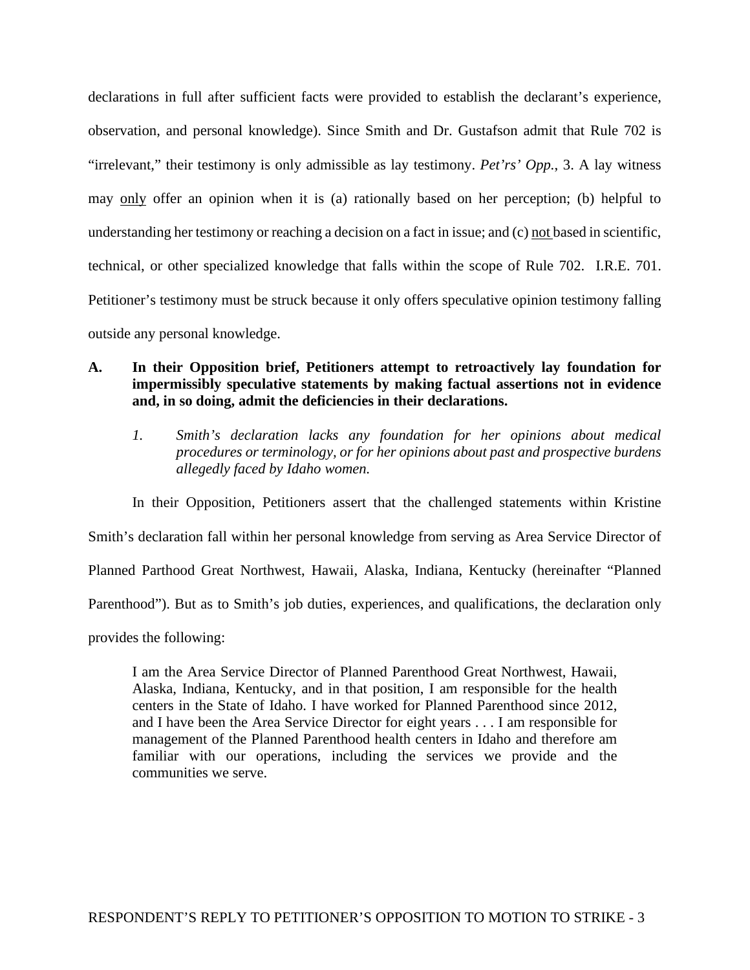declarations in full after sufficient facts were provided to establish the declarant's experience, observation, and personal knowledge). Since Smith and Dr. Gustafson admit that Rule 702 is "irrelevant," their testimony is only admissible as lay testimony. *Pet'rs' Opp.*, 3. A lay witness may only offer an opinion when it is (a) rationally based on her perception; (b) helpful to understanding her testimony or reaching a decision on a fact in issue; and (c) not based in scientific, technical, or other specialized knowledge that falls within the scope of Rule 702. I.R.E. 701. Petitioner's testimony must be struck because it only offers speculative opinion testimony falling outside any personal knowledge.

### **A. In their Opposition brief, Petitioners attempt to retroactively lay foundation for impermissibly speculative statements by making factual assertions not in evidence and, in so doing, admit the deficiencies in their declarations.**

*1. Smith's declaration lacks any foundation for her opinions about medical procedures or terminology, or for her opinions about past and prospective burdens allegedly faced by Idaho women.* 

In their Opposition, Petitioners assert that the challenged statements within Kristine Smith's declaration fall within her personal knowledge from serving as Area Service Director of Planned Parthood Great Northwest, Hawaii, Alaska, Indiana, Kentucky (hereinafter "Planned Parenthood"). But as to Smith's job duties, experiences, and qualifications, the declaration only provides the following:

I am the Area Service Director of Planned Parenthood Great Northwest, Hawaii, Alaska, Indiana, Kentucky, and in that position, I am responsible for the health centers in the State of Idaho. I have worked for Planned Parenthood since 2012, and I have been the Area Service Director for eight years . . . I am responsible for management of the Planned Parenthood health centers in Idaho and therefore am familiar with our operations, including the services we provide and the communities we serve.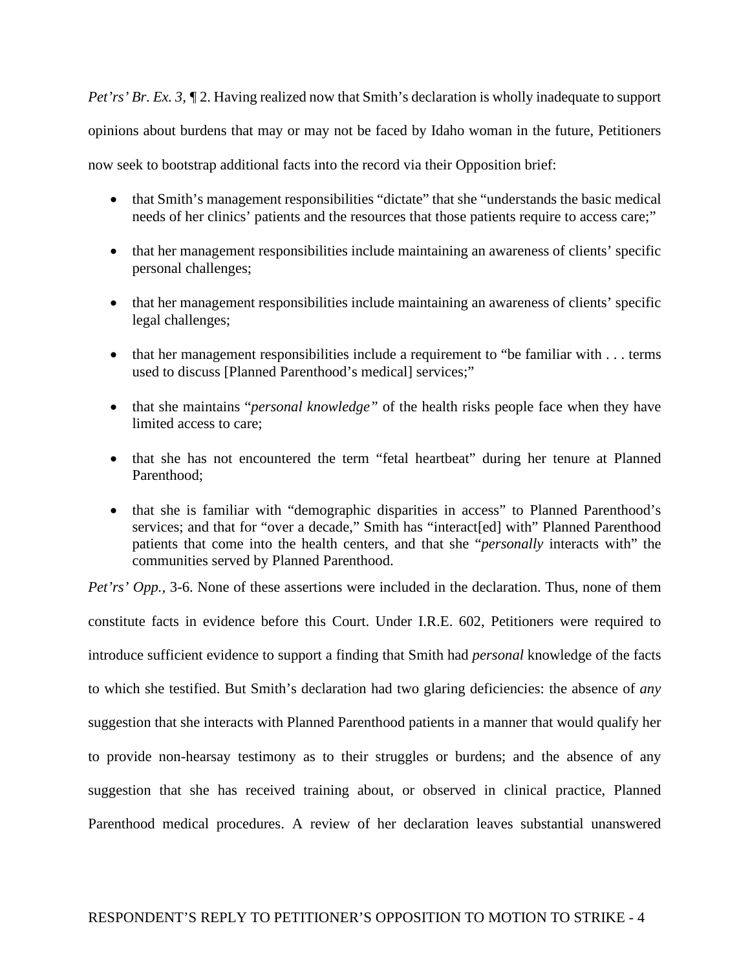*Pet'rs' Br. Ex. 3,*  $\P$  2. Having realized now that Smith's declaration is wholly inadequate to support opinions about burdens that may or may not be faced by Idaho woman in the future, Petitioners now seek to bootstrap additional facts into the record via their Opposition brief:

- that Smith's management responsibilities "dictate" that she "understands the basic medical needs of her clinics' patients and the resources that those patients require to access care:"
- that her management responsibilities include maintaining an awareness of clients' specific personal challenges;
- that her management responsibilities include maintaining an awareness of clients' specific legal challenges;
- that her management responsibilities include a requirement to "be familiar with . . . terms used to discuss [Planned Parenthood's medical] services;"
- that she maintains "*personal knowledge"* of the health risks people face when they have limited access to care;
- that she has not encountered the term "fetal heartbeat" during her tenure at Planned Parenthood;
- that she is familiar with "demographic disparities in access" to Planned Parenthood's services; and that for "over a decade," Smith has "interact[ed] with" Planned Parenthood patients that come into the health centers, and that she "*personally* interacts with" the communities served by Planned Parenthood.

*Pet'rs' Opp.*, 3-6. None of these assertions were included in the declaration. Thus, none of them constitute facts in evidence before this Court. Under I.R.E. 602, Petitioners were required to introduce sufficient evidence to support a finding that Smith had *personal* knowledge of the facts to which she testified. But Smith's declaration had two glaring deficiencies: the absence of *any*  suggestion that she interacts with Planned Parenthood patients in a manner that would qualify her to provide non-hearsay testimony as to their struggles or burdens; and the absence of any suggestion that she has received training about, or observed in clinical practice, Planned Parenthood medical procedures. A review of her declaration leaves substantial unanswered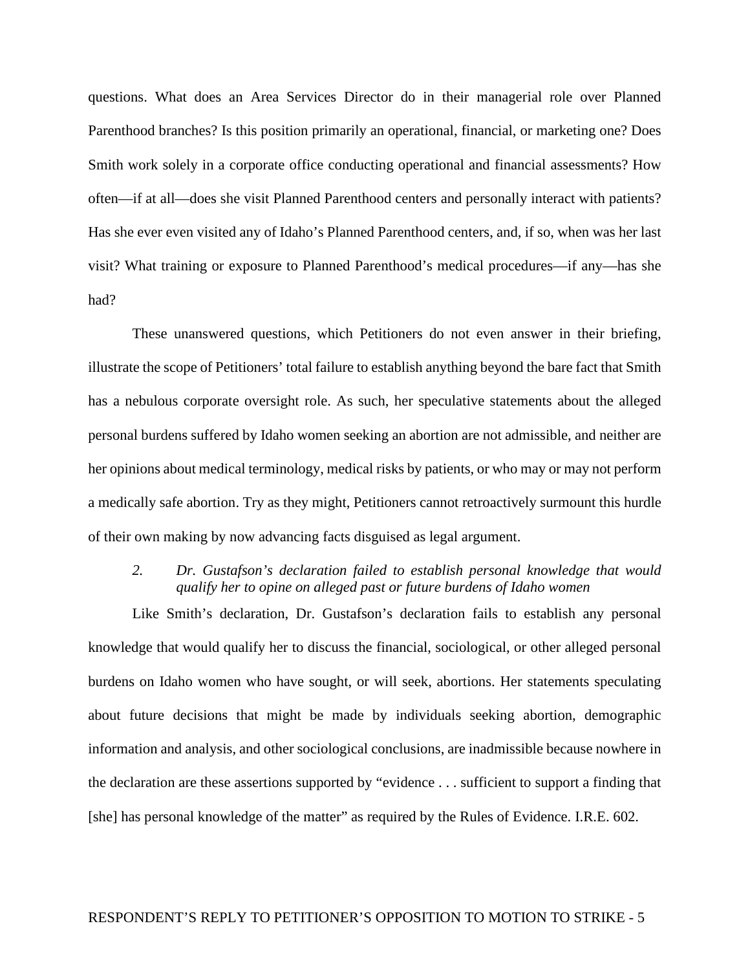questions. What does an Area Services Director do in their managerial role over Planned Parenthood branches? Is this position primarily an operational, financial, or marketing one? Does Smith work solely in a corporate office conducting operational and financial assessments? How often—if at all—does she visit Planned Parenthood centers and personally interact with patients? Has she ever even visited any of Idaho's Planned Parenthood centers, and, if so, when was her last visit? What training or exposure to Planned Parenthood's medical procedures—if any—has she had?

These unanswered questions, which Petitioners do not even answer in their briefing, illustrate the scope of Petitioners' total failure to establish anything beyond the bare fact that Smith has a nebulous corporate oversight role. As such, her speculative statements about the alleged personal burdens suffered by Idaho women seeking an abortion are not admissible, and neither are her opinions about medical terminology, medical risks by patients, or who may or may not perform a medically safe abortion. Try as they might, Petitioners cannot retroactively surmount this hurdle of their own making by now advancing facts disguised as legal argument.

### *2. Dr. Gustafson's declaration failed to establish personal knowledge that would qualify her to opine on alleged past or future burdens of Idaho women*

Like Smith's declaration, Dr. Gustafson's declaration fails to establish any personal knowledge that would qualify her to discuss the financial, sociological, or other alleged personal burdens on Idaho women who have sought, or will seek, abortions. Her statements speculating about future decisions that might be made by individuals seeking abortion, demographic information and analysis, and other sociological conclusions, are inadmissible because nowhere in the declaration are these assertions supported by "evidence . . . sufficient to support a finding that [she] has personal knowledge of the matter" as required by the Rules of Evidence. I.R.E. 602.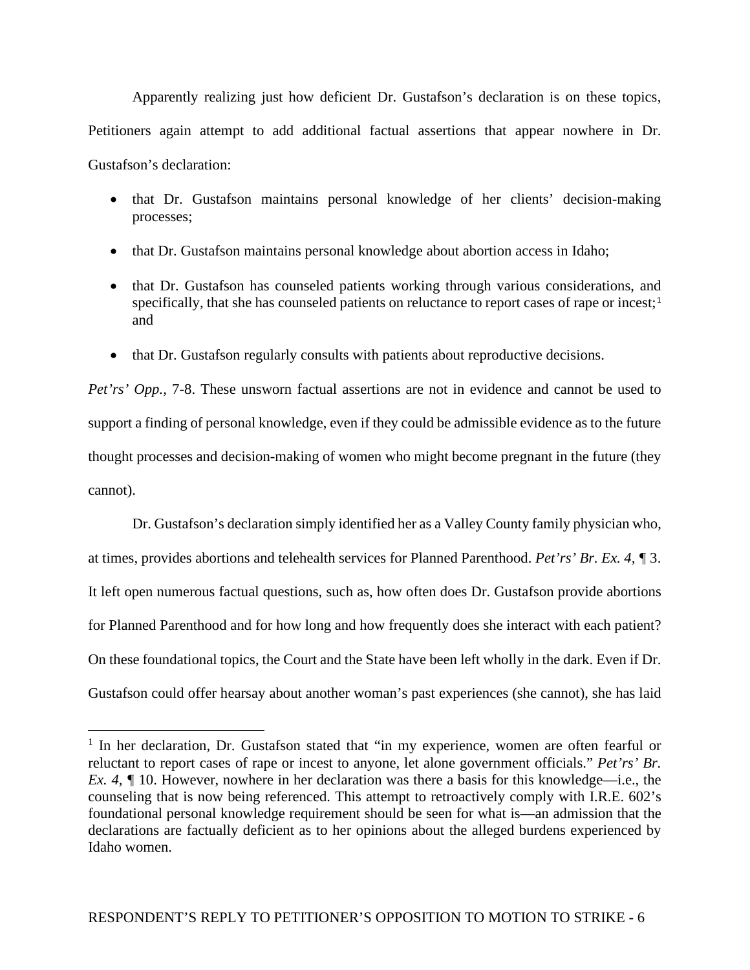Apparently realizing just how deficient Dr. Gustafson's declaration is on these topics, Petitioners again attempt to add additional factual assertions that appear nowhere in Dr. Gustafson's declaration:

- that Dr. Gustafson maintains personal knowledge of her clients' decision-making processes;
- that Dr. Gustafson maintains personal knowledge about abortion access in Idaho;
- that Dr. Gustafson has counseled patients working through various considerations, and specifically, that she has counseled patients on reluctance to report cases of rape or incest;<sup>[1](#page-5-0)</sup> and
- that Dr. Gustafson regularly consults with patients about reproductive decisions.

*Pet'rs' Opp., 7-8.* These unsworn factual assertions are not in evidence and cannot be used to support a finding of personal knowledge, even if they could be admissible evidence as to the future thought processes and decision-making of women who might become pregnant in the future (they cannot).

Dr. Gustafson's declaration simply identified her as a Valley County family physician who, at times, provides abortions and telehealth services for Planned Parenthood. *Pet'rs' Br. Ex. 4, ¶* 3. It left open numerous factual questions, such as, how often does Dr. Gustafson provide abortions for Planned Parenthood and for how long and how frequently does she interact with each patient? On these foundational topics, the Court and the State have been left wholly in the dark. Even if Dr. Gustafson could offer hearsay about another woman's past experiences (she cannot), she has laid

<span id="page-5-0"></span> $1$  In her declaration, Dr. Gustafson stated that "in my experience, women are often fearful or reluctant to report cases of rape or incest to anyone, let alone government officials." *Pet'rs' Br. Ex. 4,*  $\sqrt{\ }10$ . However, nowhere in her declaration was there a basis for this knowledge—i.e., the counseling that is now being referenced. This attempt to retroactively comply with I.R.E. 602's foundational personal knowledge requirement should be seen for what is—an admission that the declarations are factually deficient as to her opinions about the alleged burdens experienced by Idaho women.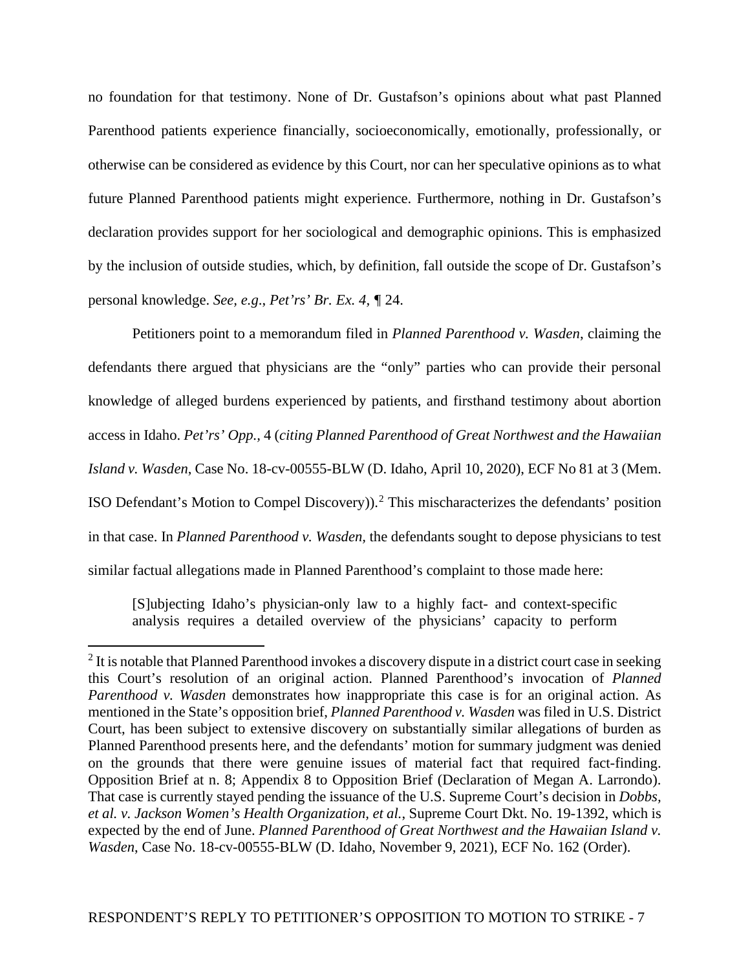no foundation for that testimony. None of Dr. Gustafson's opinions about what past Planned Parenthood patients experience financially, socioeconomically, emotionally, professionally, or otherwise can be considered as evidence by this Court, nor can her speculative opinions as to what future Planned Parenthood patients might experience. Furthermore, nothing in Dr. Gustafson's declaration provides support for her sociological and demographic opinions. This is emphasized by the inclusion of outside studies, which, by definition, fall outside the scope of Dr. Gustafson's personal knowledge. *See, e.g*., *Pet'rs' Br. Ex. 4, ¶* 24.

Petitioners point to a memorandum filed in *Planned Parenthood v. Wasden*, claiming the defendants there argued that physicians are the "only" parties who can provide their personal knowledge of alleged burdens experienced by patients, and firsthand testimony about abortion access in Idaho. *Pet'rs' Opp.,* 4 (*citing Planned Parenthood of Great Northwest and the Hawaiian Island v. Wasden*, Case No. 18-cv-00555-BLW (D. Idaho, April 10, 2020), ECF No 81 at 3 (Mem. ISO Defendant's Motion to Compel Discovery)).[2](#page-6-0) This mischaracterizes the defendants' position in that case. In *Planned Parenthood v. Wasden,* the defendants sought to depose physicians to test similar factual allegations made in Planned Parenthood's complaint to those made here:

[S]ubjecting Idaho's physician-only law to a highly fact- and context-specific analysis requires a detailed overview of the physicians' capacity to perform

<span id="page-6-0"></span><sup>&</sup>lt;sup>2</sup> It is notable that Planned Parenthood invokes a discovery dispute in a district court case in seeking this Court's resolution of an original action. Planned Parenthood's invocation of *Planned Parenthood v. Wasden* demonstrates how inappropriate this case is for an original action. As mentioned in the State's opposition brief, *Planned Parenthood v. Wasden* was filed in U.S. District Court, has been subject to extensive discovery on substantially similar allegations of burden as Planned Parenthood presents here, and the defendants' motion for summary judgment was denied on the grounds that there were genuine issues of material fact that required fact-finding. Opposition Brief at n. 8; Appendix 8 to Opposition Brief (Declaration of Megan A. Larrondo). That case is currently stayed pending the issuance of the U.S. Supreme Court's decision in *Dobbs, et al. v. Jackson Women's Health Organization, et al.*, Supreme Court Dkt. No. 19-1392, which is expected by the end of June. *Planned Parenthood of Great Northwest and the Hawaiian Island v. Wasden*, Case No. 18-cv-00555-BLW (D. Idaho, November 9, 2021), ECF No. 162 (Order).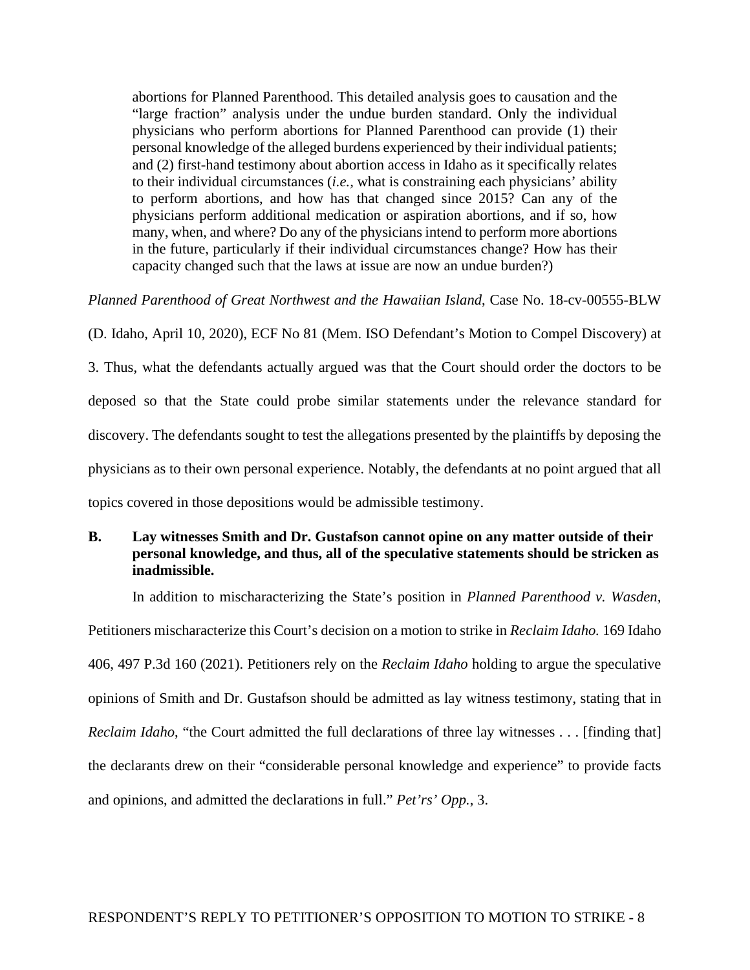abortions for Planned Parenthood. This detailed analysis goes to causation and the "large fraction" analysis under the undue burden standard. Only the individual physicians who perform abortions for Planned Parenthood can provide (1) their personal knowledge of the alleged burdens experienced by their individual patients; and (2) first-hand testimony about abortion access in Idaho as it specifically relates to their individual circumstances (*i.e.,* what is constraining each physicians' ability to perform abortions, and how has that changed since 2015? Can any of the physicians perform additional medication or aspiration abortions, and if so, how many, when, and where? Do any of the physicians intend to perform more abortions in the future, particularly if their individual circumstances change? How has their capacity changed such that the laws at issue are now an undue burden?)

*Planned Parenthood of Great Northwest and the Hawaiian Island*, Case No. 18-cv-00555-BLW

(D. Idaho, April 10, 2020), ECF No 81 (Mem. ISO Defendant's Motion to Compel Discovery) at 3. Thus, what the defendants actually argued was that the Court should order the doctors to be deposed so that the State could probe similar statements under the relevance standard for discovery. The defendants sought to test the allegations presented by the plaintiffs by deposing the physicians as to their own personal experience. Notably, the defendants at no point argued that all topics covered in those depositions would be admissible testimony.

# **B. Lay witnesses Smith and Dr. Gustafson cannot opine on any matter outside of their personal knowledge, and thus, all of the speculative statements should be stricken as inadmissible.**

In addition to mischaracterizing the State's position in *Planned Parenthood v. Wasden,*  Petitioners mischaracterize this Court's decision on a motion to strike in *Reclaim Idaho.* 169 Idaho 406, 497 P.3d 160 (2021). Petitioners rely on the *Reclaim Idaho* holding to argue the speculative opinions of Smith and Dr. Gustafson should be admitted as lay witness testimony, stating that in *Reclaim Idaho*, "the Court admitted the full declarations of three lay witnesses . . . [finding that] the declarants drew on their "considerable personal knowledge and experience" to provide facts and opinions, and admitted the declarations in full." *Pet'rs' Opp.*, 3.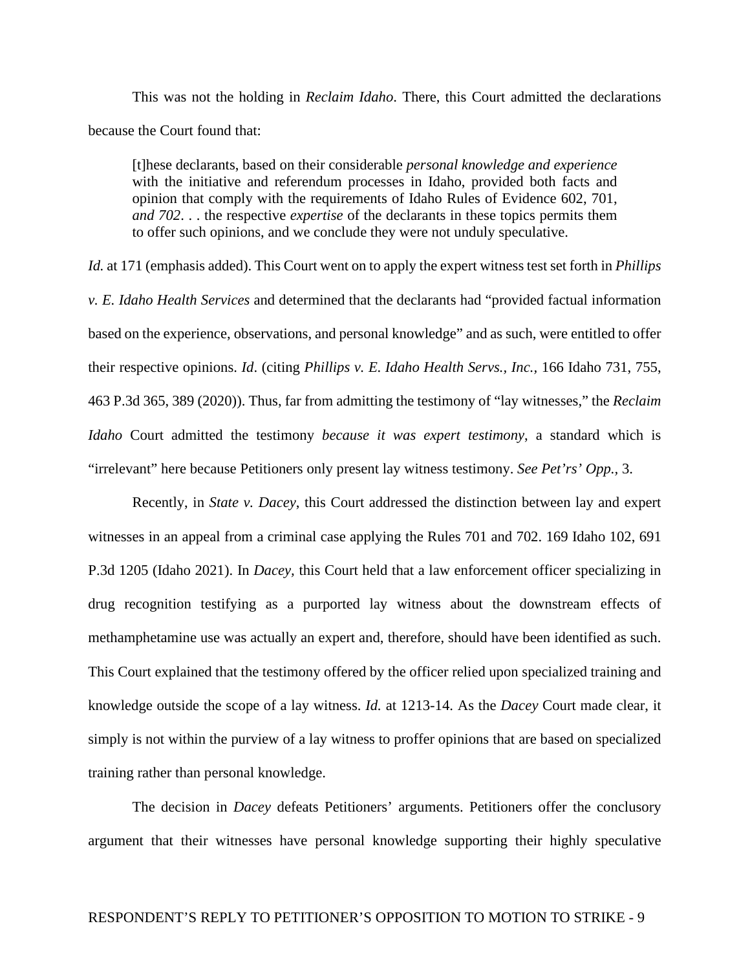This was not the holding in *Reclaim Idaho*. There, this Court admitted the declarations because the Court found that:

[t]hese declarants, based on their considerable *personal knowledge and experience* with the initiative and referendum processes in Idaho, provided both facts and opinion that comply with the requirements of Idaho Rules of Evidence 602, 701, *and 702*. . . the respective *expertise* of the declarants in these topics permits them to offer such opinions, and we conclude they were not unduly speculative.

*Id.* at 171 (emphasis added). This Court went on to apply the expert witness test set forth in *Phillips v. E. Idaho Health Services* and determined that the declarants had "provided factual information based on the experience, observations, and personal knowledge" and as such, were entitled to offer their respective opinions. *Id*. (citing *Phillips v. E. Idaho Health Servs., Inc.,* 166 Idaho 731, 755, 463 P.3d 365, 389 (2020)). Thus, far from admitting the testimony of "lay witnesses," the *Reclaim Idaho* Court admitted the testimony *because it was expert testimony*, a standard which is "irrelevant" here because Petitioners only present lay witness testimony. *See Pet'rs' Opp.,* 3.

Recently, in *State v. Dacey*, this Court addressed the distinction between lay and expert witnesses in an appeal from a criminal case applying the Rules 701 and 702. 169 Idaho 102, 691 P.3d 1205 (Idaho 2021). In *Dacey,* this Court held that a law enforcement officer specializing in drug recognition testifying as a purported lay witness about the downstream effects of methamphetamine use was actually an expert and, therefore, should have been identified as such. This Court explained that the testimony offered by the officer relied upon specialized training and knowledge outside the scope of a lay witness. *Id.* at 1213-14. As the *Dacey* Court made clear, it simply is not within the purview of a lay witness to proffer opinions that are based on specialized training rather than personal knowledge.

The decision in *Dacey* defeats Petitioners' arguments. Petitioners offer the conclusory argument that their witnesses have personal knowledge supporting their highly speculative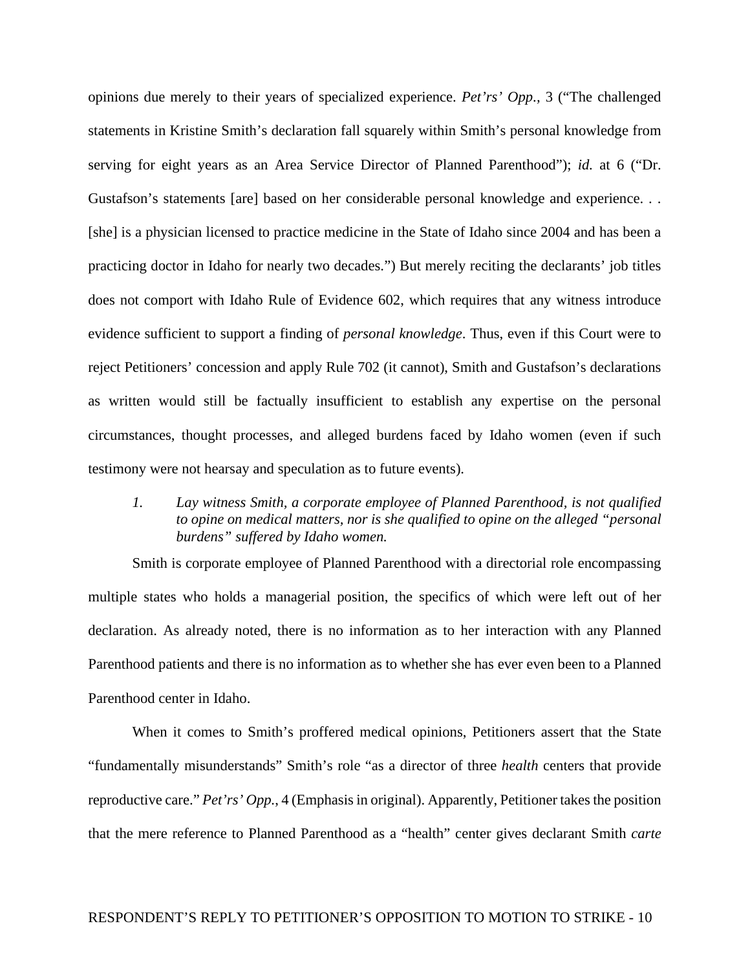opinions due merely to their years of specialized experience. *Pet'rs' Opp.,* 3 ("The challenged statements in Kristine Smith's declaration fall squarely within Smith's personal knowledge from serving for eight years as an Area Service Director of Planned Parenthood"); *id.* at 6 ("Dr. Gustafson's statements [are] based on her considerable personal knowledge and experience. . . [she] is a physician licensed to practice medicine in the State of Idaho since 2004 and has been a practicing doctor in Idaho for nearly two decades.") But merely reciting the declarants' job titles does not comport with Idaho Rule of Evidence 602, which requires that any witness introduce evidence sufficient to support a finding of *personal knowledge*. Thus, even if this Court were to reject Petitioners' concession and apply Rule 702 (it cannot), Smith and Gustafson's declarations as written would still be factually insufficient to establish any expertise on the personal circumstances, thought processes, and alleged burdens faced by Idaho women (even if such testimony were not hearsay and speculation as to future events).

*1. Lay witness Smith, a corporate employee of Planned Parenthood, is not qualified to opine on medical matters, nor is she qualified to opine on the alleged "personal burdens" suffered by Idaho women.* 

Smith is corporate employee of Planned Parenthood with a directorial role encompassing multiple states who holds a managerial position, the specifics of which were left out of her declaration. As already noted, there is no information as to her interaction with any Planned Parenthood patients and there is no information as to whether she has ever even been to a Planned Parenthood center in Idaho.

When it comes to Smith's proffered medical opinions, Petitioners assert that the State "fundamentally misunderstands" Smith's role "as a director of three *health* centers that provide reproductive care." *Pet'rs' Opp.*, 4 (Emphasis in original). Apparently, Petitioner takes the position that the mere reference to Planned Parenthood as a "health" center gives declarant Smith *carte*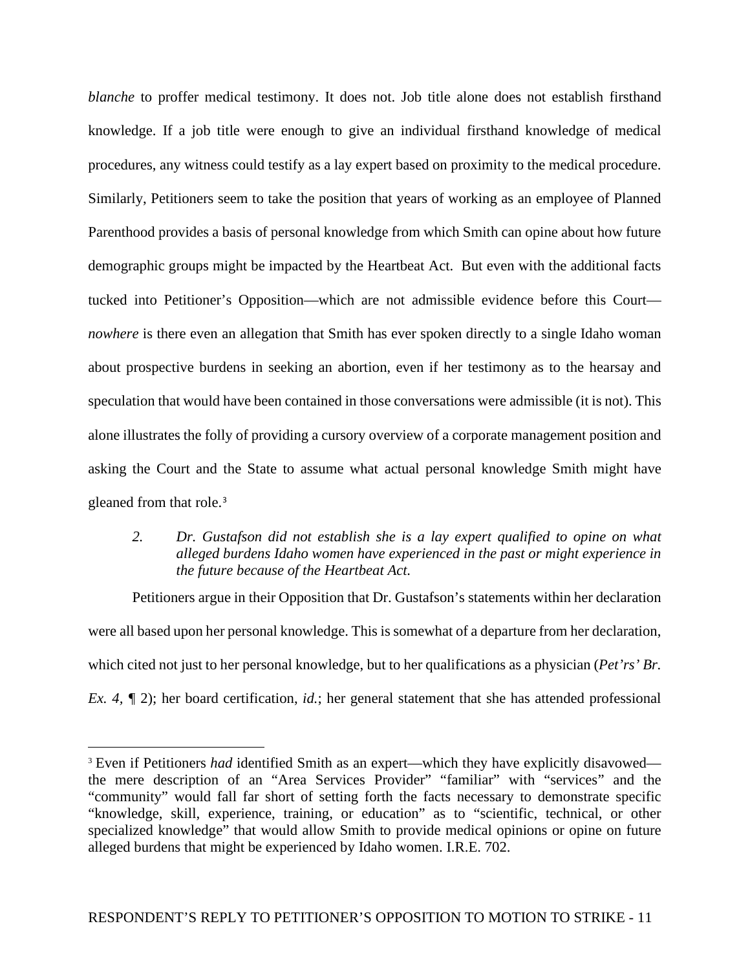*blanche* to proffer medical testimony. It does not. Job title alone does not establish firsthand knowledge. If a job title were enough to give an individual firsthand knowledge of medical procedures, any witness could testify as a lay expert based on proximity to the medical procedure. Similarly, Petitioners seem to take the position that years of working as an employee of Planned Parenthood provides a basis of personal knowledge from which Smith can opine about how future demographic groups might be impacted by the Heartbeat Act. But even with the additional facts tucked into Petitioner's Opposition—which are not admissible evidence before this Court *nowhere* is there even an allegation that Smith has ever spoken directly to a single Idaho woman about prospective burdens in seeking an abortion, even if her testimony as to the hearsay and speculation that would have been contained in those conversations were admissible (it is not). This alone illustrates the folly of providing a cursory overview of a corporate management position and asking the Court and the State to assume what actual personal knowledge Smith might have gleaned from that role.<sup>[3](#page-10-0)</sup>

# *2. Dr. Gustafson did not establish she is a lay expert qualified to opine on what alleged burdens Idaho women have experienced in the past or might experience in the future because of the Heartbeat Act.*

Petitioners argue in their Opposition that Dr. Gustafson's statements within her declaration were all based upon her personal knowledge. This is somewhat of a departure from her declaration, which cited not just to her personal knowledge, but to her qualifications as a physician (*Pet'rs' Br. Ex. 4,*  $\sqrt{\ }$  2); her board certification, *id.*; her general statement that she has attended professional

<span id="page-10-0"></span><sup>&</sup>lt;sup>3</sup> Even if Petitioners *had* identified Smith as an expert—which they have explicitly disavowed the mere description of an "Area Services Provider" "familiar" with "services" and the "community" would fall far short of setting forth the facts necessary to demonstrate specific "knowledge, skill, experience, training, or education" as to "scientific, technical, or other specialized knowledge" that would allow Smith to provide medical opinions or opine on future alleged burdens that might be experienced by Idaho women. I.R.E. 702.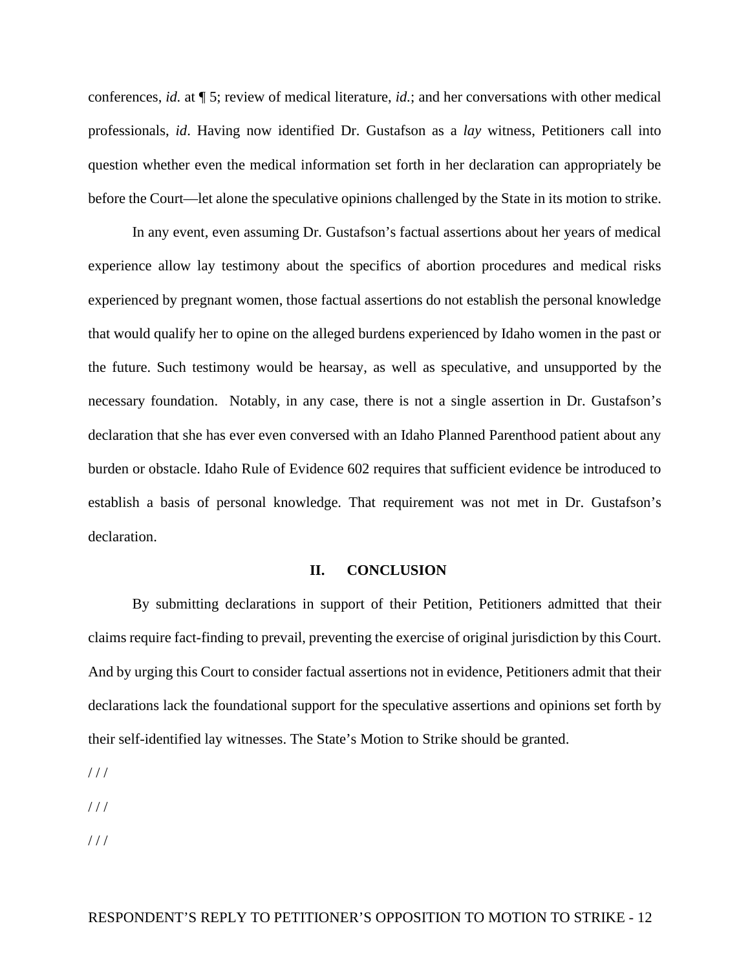conferences, *id.* at ¶ 5; review of medical literature, *id.*; and her conversations with other medical professionals, *id*. Having now identified Dr. Gustafson as a *lay* witness, Petitioners call into question whether even the medical information set forth in her declaration can appropriately be before the Court—let alone the speculative opinions challenged by the State in its motion to strike.

In any event, even assuming Dr. Gustafson's factual assertions about her years of medical experience allow lay testimony about the specifics of abortion procedures and medical risks experienced by pregnant women, those factual assertions do not establish the personal knowledge that would qualify her to opine on the alleged burdens experienced by Idaho women in the past or the future. Such testimony would be hearsay, as well as speculative, and unsupported by the necessary foundation. Notably, in any case, there is not a single assertion in Dr. Gustafson's declaration that she has ever even conversed with an Idaho Planned Parenthood patient about any burden or obstacle. Idaho Rule of Evidence 602 requires that sufficient evidence be introduced to establish a basis of personal knowledge. That requirement was not met in Dr. Gustafson's declaration.

#### **II. CONCLUSION**

By submitting declarations in support of their Petition, Petitioners admitted that their claims require fact-finding to prevail, preventing the exercise of original jurisdiction by this Court. And by urging this Court to consider factual assertions not in evidence, Petitioners admit that their declarations lack the foundational support for the speculative assertions and opinions set forth by their self-identified lay witnesses. The State's Motion to Strike should be granted.

 $1/1$ 

 $//$ 

 $1/1$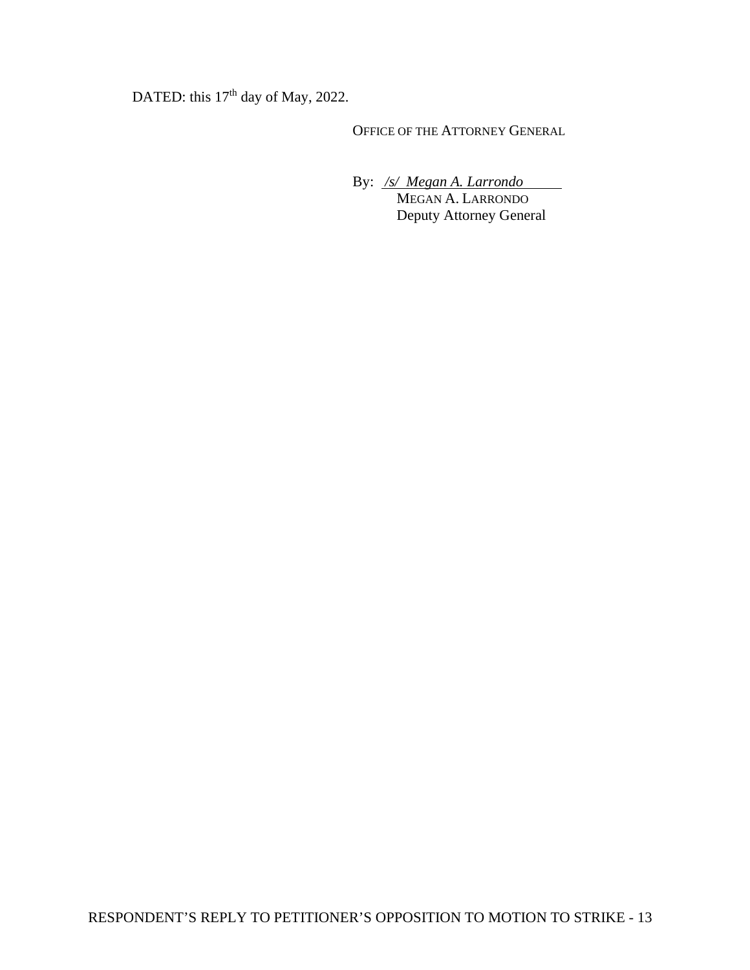DATED: this 17<sup>th</sup> day of May, 2022.

OFFICE OF THE ATTORNEY GENERAL

By: */s/ Megan A. Larrondo*

 MEGAN A. LARRONDO Deputy Attorney General